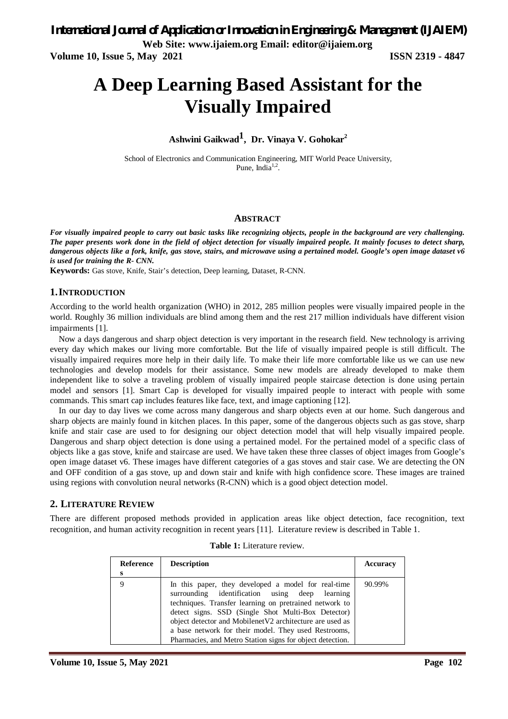**Volume 10, Issue 5, May 2021 ISSN 2319 - 4847** 

# **A Deep Learning Based Assistant for the Visually Impaired**

## **Ashwini Gaikwad1 , Dr. Vinaya V. Gohokar<sup>2</sup>**

School of Electronics and Communication Engineering, MIT World Peace University, Pune, India<sup>1,2</sup>.

## **ABSTRACT**

*For visually impaired people to carry out basic tasks like recognizing objects, people in the background are very challenging. The paper presents work done in the field of object detection for visually impaired people. It mainly focuses to detect sharp, dangerous objects like a fork, knife, gas stove, stairs, and microwave using a pertained model. Google's open image dataset v6 is used for training the R- CNN.*

**Keywords:** Gas stove, Knife, Stair's detection, Deep learning, Dataset, R-CNN.

#### **1.INTRODUCTION**

According to the world health organization (WHO) in 2012, 285 million peoples were visually impaired people in the world. Roughly 36 million individuals are blind among them and the rest 217 million individuals have different vision impairments [1].

Now a days dangerous and sharp object detection is very important in the research field. New technology is arriving every day which makes our living more comfortable. But the life of visually impaired people is still difficult. The visually impaired requires more help in their daily life. To make their life more comfortable like us we can use new technologies and develop models for their assistance. Some new models are already developed to make them independent like to solve a traveling problem of visually impaired people staircase detection is done using pertain model and sensors [1]. Smart Cap is developed for visually impaired people to interact with people with some commands. This smart cap includes features like face, text, and image captioning [12].

In our day to day lives we come across many dangerous and sharp objects even at our home. Such dangerous and sharp objects are mainly found in kitchen places. In this paper, some of the dangerous objects such as gas stove, sharp knife and stair case are used to for designing our object detection model that will help visually impaired people. Dangerous and sharp object detection is done using a pertained model. For the pertained model of a specific class of objects like a gas stove, knife and staircase are used. We have taken these three classes of object images from Google's open image dataset v6. These images have different categories of a gas stoves and stair case. We are detecting the ON and OFF condition of a gas stove, up and down stair and knife with high confidence score. These images are trained using regions with convolution neural networks (R-CNN) which is a good object detection model.

## **2. LITERATURE REVIEW**

There are different proposed methods provided in application areas like object detection, face recognition, text recognition, and human activity recognition in recent years [11]. Literature review is described in Table 1.

| <b>Reference</b> | <b>Description</b>                                                                                                                                                                                                                                                                                                                                                                                     | Accuracy |
|------------------|--------------------------------------------------------------------------------------------------------------------------------------------------------------------------------------------------------------------------------------------------------------------------------------------------------------------------------------------------------------------------------------------------------|----------|
| s                |                                                                                                                                                                                                                                                                                                                                                                                                        |          |
| 9                | In this paper, they developed a model for real-time<br>surrounding identification using deep learning<br>techniques. Transfer learning on pretrained network to<br>detect signs. SSD (Single Shot Multi-Box Detector)<br>object detector and MobilenetV2 architecture are used as<br>a base network for their model. They used Restrooms,<br>Pharmacies, and Metro Station signs for object detection. | 90.99%   |

**Table 1:** Literature review.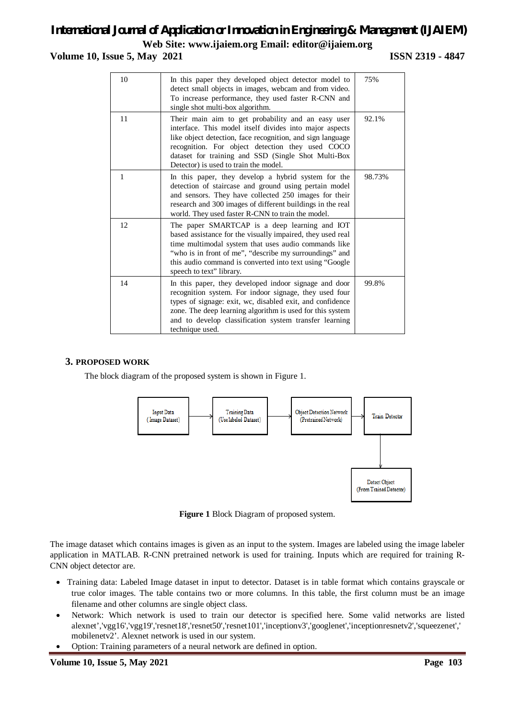## *International Journal of Application or Innovation in Engineering & Management (IJAIEM)*

**Web Site: www.ijaiem.org Email: editor@ijaiem.org**

**Volume 10, Issue 5, May 2021 ISSN 2319 - 4847** 

| 10 | In this paper they developed object detector model to<br>detect small objects in images, webcam and from video.<br>To increase performance, they used faster R-CNN and<br>single shot multi-box algorithm.                                                                                                                      | 75%    |
|----|---------------------------------------------------------------------------------------------------------------------------------------------------------------------------------------------------------------------------------------------------------------------------------------------------------------------------------|--------|
| 11 | Their main aim to get probability and an easy user<br>interface. This model itself divides into major aspects<br>like object detection, face recognition, and sign language<br>recognition. For object detection they used COCO<br>dataset for training and SSD (Single Shot Multi-Box<br>Detector) is used to train the model. | 92.1%  |
| 1  | In this paper, they develop a hybrid system for the<br>detection of staircase and ground using pertain model<br>and sensors. They have collected 250 images for their<br>research and 300 images of different buildings in the real<br>world. They used faster R-CNN to train the model.                                        | 98.73% |
| 12 | The paper SMARTCAP is a deep learning and IOT<br>based assistance for the visually impaired, they used real<br>time multimodal system that uses audio commands like<br>"who is in front of me", "describe my surroundings" and<br>this audio command is converted into text using "Google<br>speech to text" library.           |        |
| 14 | In this paper, they developed indoor signage and door<br>recognition system. For indoor signage, they used four<br>types of signage: exit, wc, disabled exit, and confidence<br>zone. The deep learning algorithm is used for this system<br>and to develop classification system transfer learning<br>technique used.          | 99.8%  |

## **3. PROPOSED WORK**

The block diagram of the proposed system is shown in Figure 1.



**Figure 1** Block Diagram of proposed system.

The image dataset which contains images is given as an input to the system. Images are labeled using the image labeler application in MATLAB. R-CNN pretrained network is used for training. Inputs which are required for training R-CNN object detector are.

- Training data: Labeled Image dataset in input to detector. Dataset is in table format which contains grayscale or true color images. The table contains two or more columns. In this table, the first column must be an image filename and other columns are single object class.
- Network: Which network is used to train our detector is specified here. Some valid networks are listed alexnet','vgg16','vgg19','resnet18','resnet50','resnet101','inceptionv3','googlenet','inceptionresnetv2','squeezenet',' mobilenetv2'. Alexnet network is used in our system.
- Option: Training parameters of a neural network are defined in option.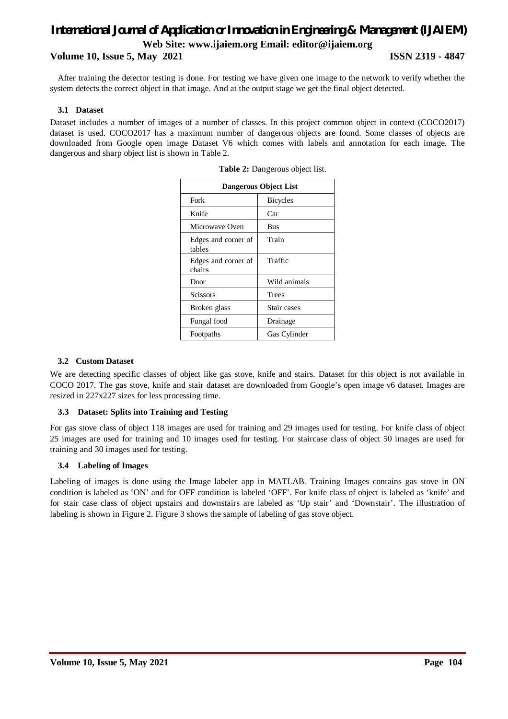#### **Volume 10, Issue 5, May 2021 ISSN 2319 - 4847**

After training the detector testing is done. For testing we have given one image to the network to verify whether the system detects the correct object in that image. And at the output stage we get the final object detected.

#### **3.1 Dataset**

Dataset includes a number of images of a number of classes. In this project common object in context (COCO2017) dataset is used. COCO2017 has a maximum number of dangerous objects are found. Some classes of objects are downloaded from Google open image Dataset V6 which comes with labels and annotation for each image. The dangerous and sharp object list is shown in Table 2.

| <b>Dangerous Object List</b>  |                 |  |
|-------------------------------|-----------------|--|
| Fork                          | <b>Bicycles</b> |  |
| Knife                         | Car             |  |
| Microwave Oven                | Bus             |  |
| Edges and corner of<br>tables | Train           |  |
| Edges and corner of<br>chairs | Traffic         |  |
| Door                          | Wild animals    |  |
| <b>Scissors</b>               | Trees           |  |
| Broken glass                  | Stair cases     |  |
| Fungal food                   | Drainage        |  |
| Footpaths                     | Gas Cylinder    |  |

#### **3.2 Custom Dataset**

We are detecting specific classes of object like gas stove, knife and stairs. Dataset for this object is not available in COCO 2017. The gas stove, knife and stair dataset are downloaded from Google's open image v6 dataset. Images are resized in 227x227 sizes for less processing time.

#### **3.3 Dataset: Splits into Training and Testing**

For gas stove class of object 118 images are used for training and 29 images used for testing. For knife class of object 25 images are used for training and 10 images used for testing. For staircase class of object 50 images are used for training and 30 images used for testing.

#### **3.4 Labeling of Images**

Labeling of images is done using the Image labeler app in MATLAB. Training Images contains gas stove in ON condition is labeled as 'ON' and for OFF condition is labeled 'OFF'. For knife class of object is labeled as 'knife' and for stair case class of object upstairs and downstairs are labeled as 'Up stair' and 'Downstair'. The illustration of labeling is shown in Figure 2. Figure 3 shows the sample of labeling of gas stove object.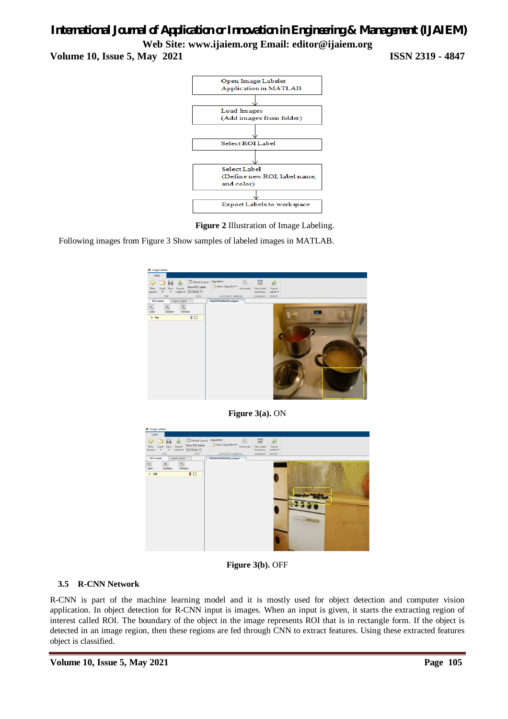**Volume 10, Issue 5, May 2021 ISSN 2319 - 4847** 



**Figure 2** Illustration of Image Labeling.

Following images from Figure 3 Show samples of labeled images in MATLAB.



**Figure 3(a).** ON



**Figure 3(b).** OFF

## **3.5 R-CNN Network**

R-CNN is part of the machine learning model and it is mostly used for object detection and computer vision application. In object detection for R-CNN input is images. When an input is given, it starts the extracting region of interest called ROI. The boundary of the object in the image represents ROI that is in rectangle form. If the object is detected in an image region, then these regions are fed through CNN to extract features. Using these extracted features object is classified.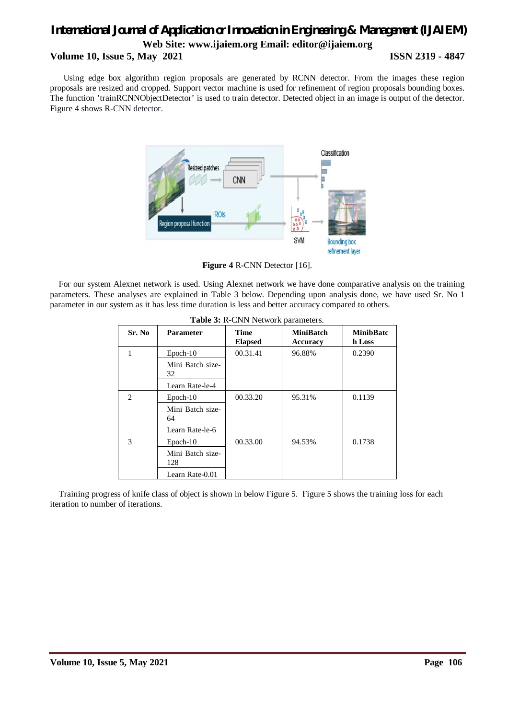## *International Journal of Application or Innovation in Engineering & Management (IJAIEM)* **Web Site: www.ijaiem.org Email: editor@ijaiem.org Volume 10, Issue 5, May 2021 ISSN 2319 - 4847**

 Using edge box algorithm region proposals are generated by RCNN detector. From the images these region proposals are resized and cropped. Support vector machine is used for refinement of region proposals bounding boxes. The function 'trainRCNNObjectDetector' is used to train detector. Detected object in an image is output of the detector. Figure 4 shows R-CNN detector.



**Figure 4** R-CNN Detector [16].

For our system Alexnet network is used. Using Alexnet network we have done comparative analysis on the training parameters. These analyses are explained in Table 3 below. Depending upon analysis done, we have used Sr. No 1 parameter in our system as it has less time duration is less and better accuracy compared to others.

**Table 3: <b>R-CNINEN** the advanced parameters.

| Sr. No                      | <b>Parameter</b>        | Time<br><b>Elapsed</b> | <b>MiniBatch</b><br>Accuracy | <b>MinibBatc</b><br>h Loss |
|-----------------------------|-------------------------|------------------------|------------------------------|----------------------------|
|                             | $Epoch-10$              | 00.31.41               | 96.88%                       | 0.2390                     |
|                             | Mini Batch size-<br>32  |                        |                              |                            |
|                             | Learn Rate-le-4         |                        |                              |                            |
| $\mathcal{D}_{\mathcal{L}}$ | $Epoch-10$              | 00.33.20               | 95.31%                       | 0.1139                     |
|                             | Mini Batch size-<br>64  |                        |                              |                            |
|                             | Learn Rate-le-6         |                        |                              |                            |
| 3                           | $Epoch-10$              | 00.33.00               | 94.53%                       | 0.1738                     |
|                             | Mini Batch size-<br>128 |                        |                              |                            |
|                             | Learn Rate-0.01         |                        |                              |                            |

Training progress of knife class of object is shown in below Figure 5. Figure 5 shows the training loss for each iteration to number of iterations.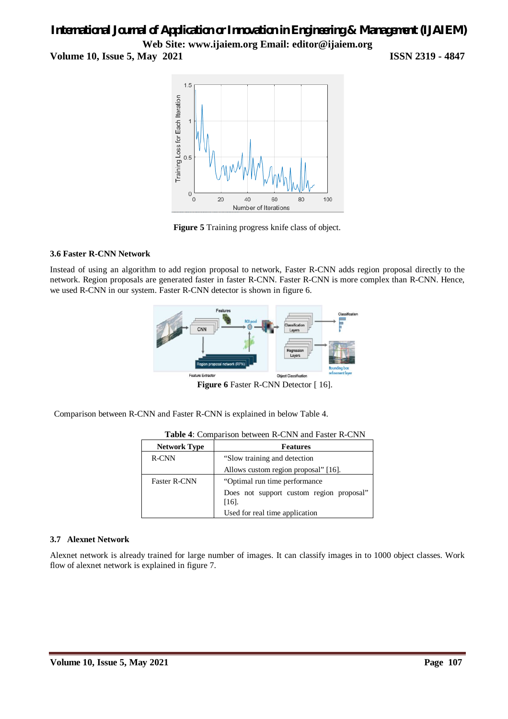**Volume 10, Issue 5, May 2021 ISSN 2319 - 4847** 



**Figure 5** Training progress knife class of object.

#### **3.6 Faster R-CNN Network**

Instead of using an algorithm to add region proposal to network, Faster R-CNN adds region proposal directly to the network. Region proposals are generated faster in faster R-CNN. Faster R-CNN is more complex than R-CNN. Hence, we used R-CNN in our system. Faster R-CNN detector is shown in figure 6.



Figure 6 Faster R-CNN Detector [ 16].

Comparison between R-CNN and Faster R-CNN is explained in below Table 4.

| <b>Network Type</b> | <b>Features</b>                                  |
|---------------------|--------------------------------------------------|
| R-CNN               | "Slow training and detection"                    |
|                     | Allows custom region proposal" [16].             |
| <b>Faster R-CNN</b> | "Optimal run time performance"                   |
|                     | Does not support custom region proposal"<br>[16] |
|                     | Used for real time application                   |

**Table 4**: Comparison between R-CNN and Faster R-CNN

#### **3.7 Alexnet Network**

Alexnet network is already trained for large number of images. It can classify images in to 1000 object classes. Work flow of alexnet network is explained in figure 7.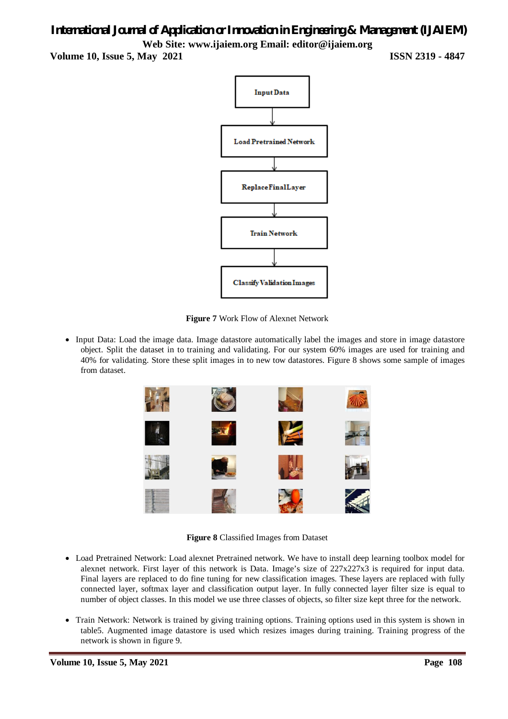**Volume 10, Issue 5, May 2021 ISSN 2319 - 4847** 



**Figure 7** Work Flow of Alexnet Network

• Input Data: Load the image data. Image datastore automatically label the images and store in image datastore object. Split the dataset in to training and validating. For our system 60% images are used for training and 40% for validating. Store these split images in to new tow datastores. Figure 8 shows some sample of images from dataset.



**Figure 8** Classified Images from Dataset

- Load Pretrained Network: Load alexnet Pretrained network. We have to install deep learning toolbox model for alexnet network. First layer of this network is Data. Image's size of 227x227x3 is required for input data. Final layers are replaced to do fine tuning for new classification images. These layers are replaced with fully connected layer, softmax layer and classification output layer. In fully connected layer filter size is equal to number of object classes. In this model we use three classes of objects, so filter size kept three for the network.
- Train Network: Network is trained by giving training options. Training options used in this system is shown in table5. Augmented image datastore is used which resizes images during training. Training progress of the network is shown in figure 9.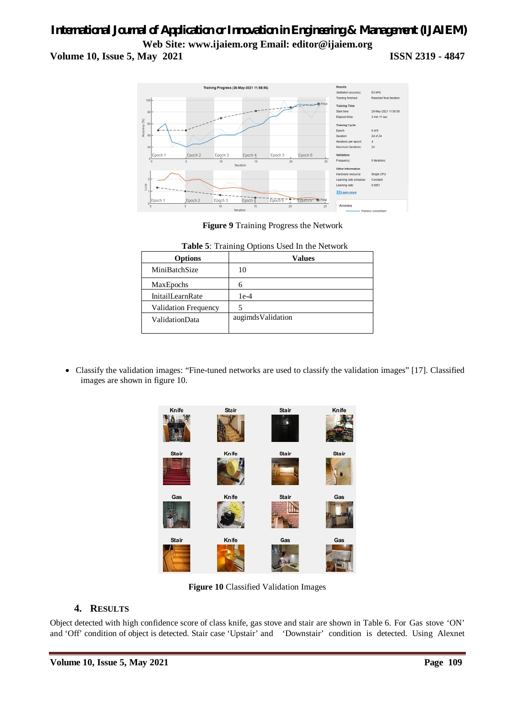## *International Journal of Application or Innovation in Engineering & Management (IJAIEM)* **Web Site: www.ijaiem.org Email: editor@ijaiem.org Volume 10, Issue 5, May 2021 ISSN 2319 - 4847**



**Figure 9** Training Progress the Network

| <b>Options</b>              | <b>Values</b>      |
|-----------------------------|--------------------|
| MiniBatchSize               | 10                 |
| MaxEpochs                   | 6                  |
| <b>InitailLearnRate</b>     | $1e-4$             |
| <b>Validation Frequency</b> |                    |
| ValidationData              | augimds Validation |

**Table 5**: Training Options Used In the Network

 Classify the validation images: "Fine-tuned networks are used to classify the validation images" [17]. Classified images are shown in figure 10.



**Figure 10** Classified Validation Images

## **4. RESULTS**

Object detected with high confidence score of class knife, gas stove and stair are shown in Table 6. For Gas stove 'ON' and 'Off' condition of object is detected. Stair case 'Upstair' and 'Downstair' condition is detected. Using Alexnet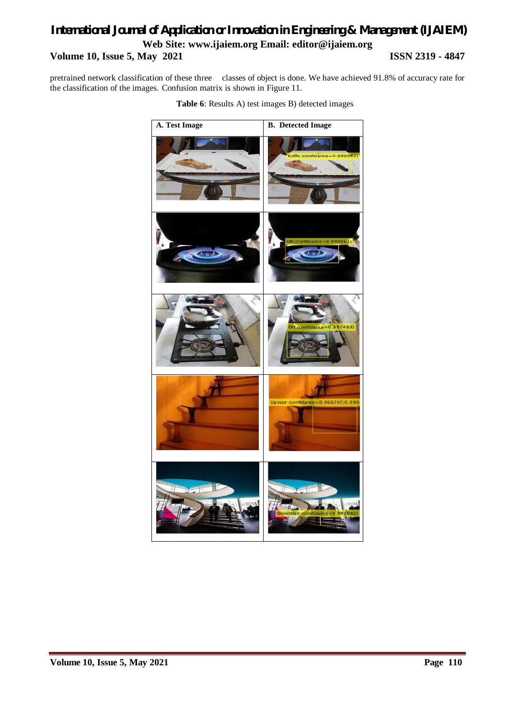## *International Journal of Application or Innovation in Engineering & Management (IJAIEM)* **Web Site: www.ijaiem.org Email: editor@ijaiem.org Volume 10, Issue 5, May 2021 ISSN 2319 - 4847**

pretrained network classification of these three classes of object is done. We have achieved 91.8% of accuracy rate for the classification of the images. Confusion matrix is shown in Figure 11.



**Table 6**: Results A) test images B) detected images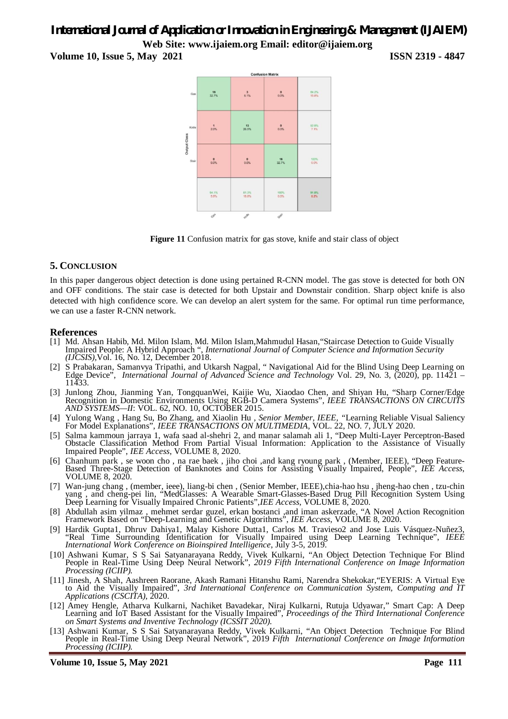**Volume 10, Issue 5, May 2021 ISSN 2319 - 4847**



Figure 11 Confusion matrix for gas stove, knife and stair class of object

#### **5. CONCLUSION**

In this paper dangerous object detection is done using pertained R-CNN model. The gas stove is detected for both ON and OFF conditions. The stair case is detected for both Upstair and Downstair condition. Sharp object knife is also detected with high confidence score. We can develop an alert system for the same. For optimal run time performance, we can use a faster R-CNN network.

#### **References**

- [1] Md. Ahsan Habib, Md. Milon Islam, Md. Milon Islam,Mahmudul Hasan,"Staircase Detection to Guide Visually Impaired People: A Hybrid Approach ", *International Journal of Computer Science and Information Security (IJCSIS),*Vol. 16, No. 12, December 2018.
- [2] S Prabakaran, Samanvya Tripathi, and Utkarsh Nagpal, " Navigational Aid for the Blind Using Deep Learning on Edge Device", *International Journal of Advanced Science and Technology* Vol. 29, No. 3, (2020), pp. 11421 – 11433.
- [3] Junlong Zhou, Jianming Yan, TongquanWei, Kaijie Wu, Xiaodao Chen, and Shiyan Hu, "Sharp Corner/Edge Recognition in Domestic Environments Using RGB-D Camera Systems", *IEEE TRANSACTIONS ON CIRCUITS AND SYSTEMS—II*: VOL. 62, NO. 10, OCTOBER 2015.
- [4] Yulong Wang , Hang Su, Bo Zhang, and Xiaolin Hu *, Senior Member, IEEE, "*Learning Reliable Visual Saliency For Model Explanations", *IEEE TRANSACTIONS ON MULTIMEDIA*, VOL. 22, NO. 7, JULY 2020.
- [5] Salma kammoun jarraya 1, wafa saad al-shehri 2, and manar salamah ali 1, "Deep Multi-Layer Perceptron-Based Obstacle Classification Method From Partial Visual Information: Application to the Assistance of Visually Impaired People", *IEE Access*, VOLUME 8, 2020.
- [6] Chanhum park , se woon cho , na rae baek , jiho choi ,and kang ryoung park , (Member, IEEE), "Deep Feature-Based Three-Stage Detection of Banknotes and Coins for Assisting Visually Impaired, People", *IEE Access*, VOLUME 8, 2020.
- [7] Wan-jung chang , (member, ieee), liang-bi chen , (Senior Member, IEEE),chia-hao hsu , jheng-hao chen , tzu-chin yang , and cheng-pei lin, "MedGlasses: A Wearable Smart-Glasses-Based Drug Pill Recognition System Using Deep Learning for Visually Impaired Chronic Patients",*IEE Access*, VOLUME 8, 2020.
- [8] Abdullah asim yilmaz , mehmet serdar guzel, erkan bostanci ,and iman askerzade, "A Novel Action Recognition Framework Based on "Deep-Learning and Genetic Algorithms", *IEE Access*, VOLUME 8, 2020.
- [9] Hardik Gupta1, Dhruv Dahiya1, Malay Kishore Dutta1, Carlos M. Travieso2 and Jose Luis Vásquez-Nuñez3, "Real Time Surrounding Identification for Visually Impaired using Deep Learning Technique", *IEEE International Work Conference on Bioinspired Intelligence*, July 3-5, 2019.
- [10] Ashwani Kumar, S S Sai Satyanarayana Reddy, Vivek Kulkarni, "An Object Detection Technique For Blind People in Real-Time Using Deep Neural Network", *2019 Fifth International Conference on Image Information Processing (ICIIP).*
- [11] Jinesh, A Shah, Aashreen Raorane, Akash Ramani Hitanshu Rami, Narendra Shekokar,"EYERIS: A Virtual Eye to Aid the Visually Impaired", *3rd International Conference on Communication System, Computing and IT Applications (CSCITA)*, 2020.
- [12] Amey Hengle, Atharva Kulkarni, Nachiket Bavadekar, Niraj Kulkarni, Rutuja Udyawar," Smart Cap: A Deep Learning and IoT Based Assistant for the Visually Impaired", *Proceedings of the Third International Conference on Smart Systems and Inventive Technology (ICSSIT 2020).*
- [13] Ashwani Kumar, S S Sai Satyanarayana Reddy, Vivek Kulkarni, "An Object Detection Technique For Blind People in Real-Time Using Deep Neural Network", 2019 *Fifth International Conference on Image Information Processing (ICIIP).*

**Volume 10, Issue 5, May 2021 Page 111**